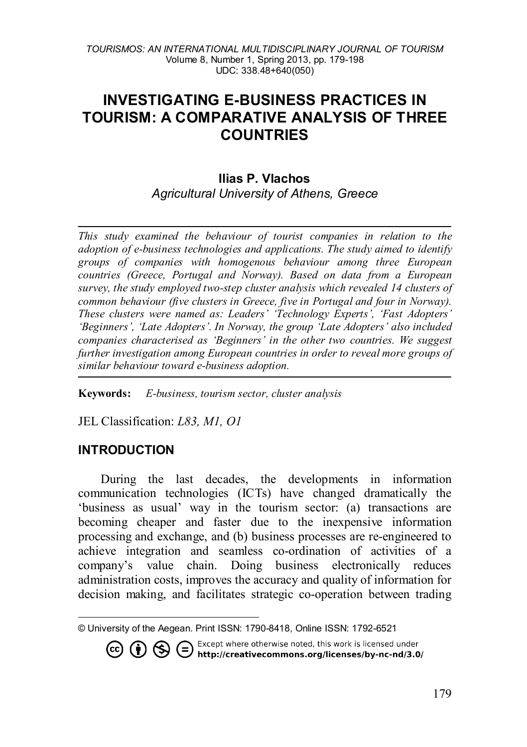# **INVESTIGATING E-BUSINESS PRACTICES IN TOURISM: A COMPARATIVE ANALYSIS OF THREE COUNTRIES**

# **Ilias P. Vlachos** *Agricultural University of Athens, Greece*

*This study examined the behaviour of tourist companies in relation to the adoption of e-business technologies and applications. The study aimed to identify groups of companies with homogenous behaviour among three European countries (Greece, Portugal and Norway). Based on data from a European survey, the study employed two-step cluster analysis which revealed 14 clusters of common behaviour (five clusters in Greece, five in Portugal and four in Norway). These clusters were named as: Leaders' 'Technology Experts', 'Fast Adopters' 'Beginners', 'Late Adopters'. In Norway, the group 'Late Adopters' also included companies characterised as 'Beginners' in the other two countries. We suggest further investigation among European countries in order to reveal more groups of similar behaviour toward e-business adoption.* 

**Keywords:** *E-business, tourism sector, cluster analysis*

JEL Classification: *L83, M1, O1*

## **INTRODUCTION**

During the last decades, the developments in information communication technologies (ICTs) have changed dramatically the 'business as usual' way in the tourism sector: (a) transactions are becoming cheaper and faster due to the inexpensive information processing and exchange, and (b) business processes are re-engineered to achieve integration and seamless co-ordination of activities of a company's value chain. Doing business electronically reduces administration costs, improves the accuracy and quality of information for decision making, and facilitates strategic co-operation between trading

**CO (b)**  $\bigoplus$  Except where otherwise noted, this work is licensed under<br>**CO (b)**  $\bigoplus$  **http://creativecommons.org/licenses/by-nc-nd/3.0/** 

<span id="page-0-0"></span> $\overline{a}$ © University of the Aegean. Print ISSN: 1790-8418, Online ISSN: 1792-6521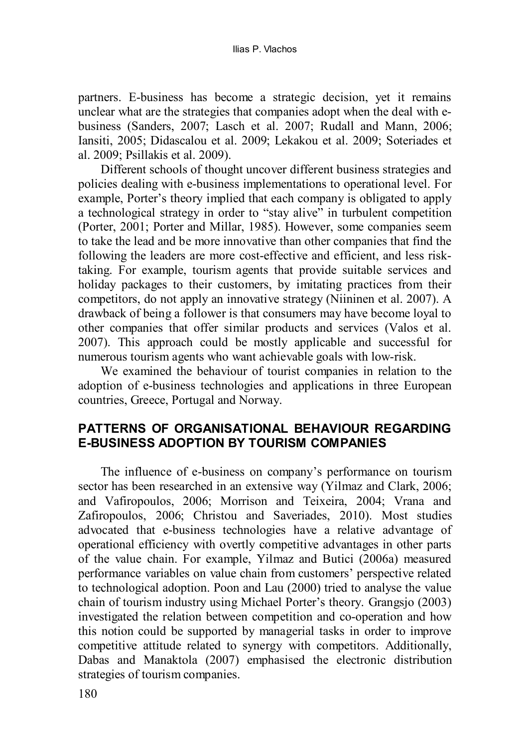partners. E-business has become a strategic decision, yet it remains unclear what are the strategies that companies adopt when the deal with ebusiness (Sanders, 2007; Lasch et al. 2007; Rudall and Mann, 2006; Iansiti, 2005; Didascalou et al. 2009; Lekakou et al. 2009; Soteriades et al. 2009; Psillakis et al. 2009).

Different schools of thought uncover different business strategies and policies dealing with e-business implementations to operational level. For example, Porter's theory implied that each company is obligated to apply a technological strategy in order to "stay alive" in turbulent competition (Porter, 2001; Porter and Millar, 1985). However, some companies seem to take the lead and be more innovative than other companies that find the following the leaders are more cost-effective and efficient, and less risktaking. For example, tourism agents that provide suitable services and holiday packages to their customers, by imitating practices from their competitors, do not apply an innovative strategy (Niininen et al. 2007). A drawback of being a follower is that consumers may have become loyal to other companies that offer similar products and services (Valos et al. 2007). This approach could be mostly applicable and successful for numerous tourism agents who want achievable goals with low-risk.

We examined the behaviour of tourist companies in relation to the adoption of e-business technologies and applications in three European countries, Greece, Portugal and Norway.

# **PATTERNS OF ORGANISATIONAL BEHAVIOUR REGARDING E-BUSINESS ADOPTION BY TOURISM COMPANIES**

The influence of e-business on company's performance on tourism sector has been researched in an extensive way (Yilmaz and Clark, 2006; and Vafiropoulos, 2006; Morrison and Teixeira, 2004; Vrana and Zafiropoulos, 2006; Christou and Saveriades, 2010). Most studies advocated that e-business technologies have a relative advantage of operational efficiency with overtly competitive advantages in other parts of the value chain. For example, Yilmaz and Butici (2006a) measured performance variables on value chain from customers' perspective related to technological adoption. Poon and Lau (2000) tried to analyse the value chain of tourism industry using Michael Porter's theory. Grangsjo (2003) investigated the relation between competition and co-operation and how this notion could be supported by managerial tasks in order to improve competitive attitude related to synergy with competitors. Additionally, Dabas and Manaktola (2007) emphasised the electronic distribution strategies of tourism companies.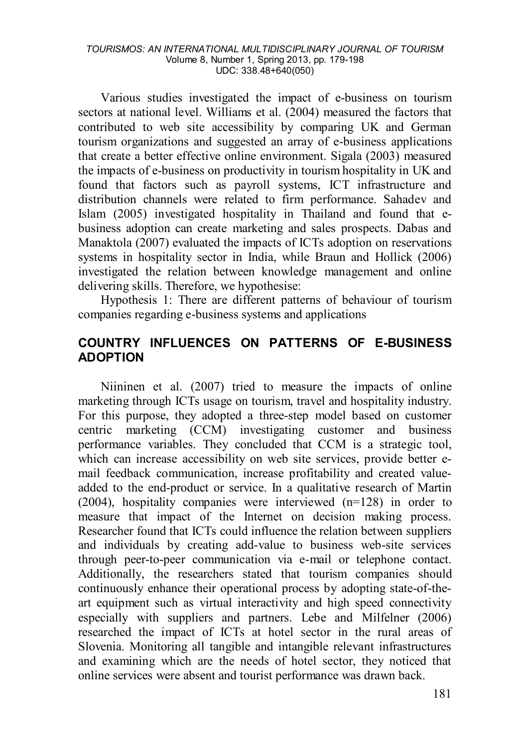#### *TOURISMOS: AN INTERNATIONAL MULTIDISCIPLINARY JOURNAL OF TOURISM* Volume 8, Number 1, Spring 2013, pp. 179-198 UDC: 338.48+640(050)

Various studies investigated the impact of e-business on tourism sectors at national level. Williams et al. (2004) measured the factors that contributed to web site accessibility by comparing UK and German tourism organizations and suggested an array of e-business applications that create a better effective online environment. Sigala (2003) measured the impacts of e-business on productivity in tourism hospitality in UK and found that factors such as payroll systems, ICT infrastructure and distribution channels were related to firm performance. Sahadev and Islam (2005) investigated hospitality in Thailand and found that ebusiness adoption can create marketing and sales prospects. Dabas and Manaktola (2007) evaluated the impacts of ICTs adoption on reservations systems in hospitality sector in India, while Braun and Hollick (2006) investigated the relation between knowledge management and online delivering skills. Therefore, we hypothesise:

Hypothesis 1: There are different patterns of behaviour of tourism companies regarding e-business systems and applications

# **COUNTRY INFLUENCES ON PATTERNS OF E-BUSINESS ADOPTION**

Niininen et al. (2007) tried to measure the impacts of online marketing through ICTs usage on tourism, travel and hospitality industry. For this purpose, they adopted a three-step model based on customer centric marketing (CCM) investigating customer and business performance variables. They concluded that CCM is a strategic tool, which can increase accessibility on web site services, provide better email feedback communication, increase profitability and created valueadded to the end-product or service. In a qualitative research of Martin (2004), hospitality companies were interviewed (n=128) in order to measure that impact of the Internet on decision making process. Researcher found that ICTs could influence the relation between suppliers and individuals by creating add-value to business web-site services through peer-to-peer communication via e-mail or telephone contact. Additionally, the researchers stated that tourism companies should continuously enhance their operational process by adopting state-of-theart equipment such as virtual interactivity and high speed connectivity especially with suppliers and partners. Lebe and Milfelner (2006) researched the impact of ICTs at hotel sector in the rural areas of Slovenia. Monitoring all tangible and intangible relevant infrastructures and examining which are the needs of hotel sector, they noticed that online services were absent and tourist performance was drawn back.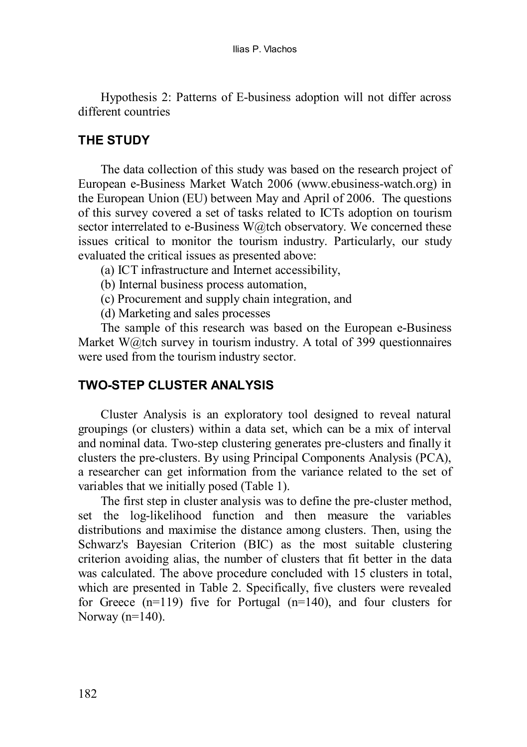Hypothesis 2: Patterns of E-business adoption will not differ across different countries

#### **THE STUDY**

The data collection of this study was based on the research project of European e-Business Market Watch 2006 [\(www.ebusiness-watch.org\)](http://www.ebusiness-watch.org/) in the European Union (EU) between May and April of 2006. The questions of this survey covered a set of tasks related to ICTs adoption on tourism sector interrelated to e-Business W@tch observatory. We concerned these issues critical to monitor the tourism industry. Particularly, our study evaluated the critical issues as presented above:

- (a) ICT infrastructure and Internet accessibility,
- (b) Internal business process automation,
- (c) Procurement and supply chain integration, and
- (d) Marketing and sales processes

The sample of this research was based on the European e-Business Market W@tch survey in tourism industry. A total of 399 questionnaires were used from the tourism industry sector.

## **TWO-STEP CLUSTER ANALYSIS**

Cluster Analysis is an exploratory tool designed to reveal natural groupings (or clusters) within a data set, which can be a mix of interval and nominal data. Two-step clustering generates pre-clusters and finally it clusters the pre-clusters. By using Principal Components Analysis (PCA), a researcher can get information from the variance related to the set of variables that we initially posed [\(Table 1\)](#page-4-0).

The first step in cluster analysis was to define the pre-cluster method, set the log-likelihood function and then measure the variables distributions and maximise the distance among clusters. Then, using the Schwarz's Bayesian Criterion (BIC) as the most suitable clustering criterion avoiding alias, the number of clusters that fit better in the data was calculated. The above procedure concluded with 15 clusters in total, which are presented in [Table 2.](#page-4-1) Specifically, five clusters were revealed for Greece  $(n=119)$  five for Portugal  $(n=140)$ , and four clusters for Norway  $(n=140)$ .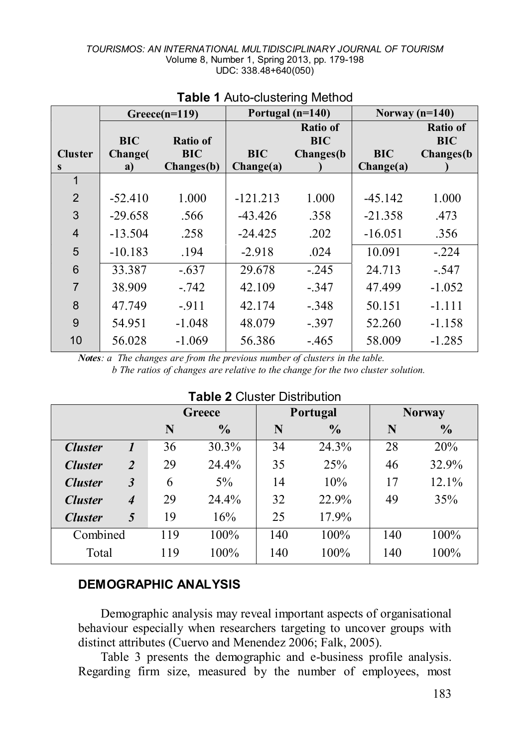<span id="page-4-0"></span>

|                |               | $Greeze(n=119)$ |            | Portugal $(n=140)$            | Norway $(n=140)$ |                               |  |  |
|----------------|---------------|-----------------|------------|-------------------------------|------------------|-------------------------------|--|--|
|                | <b>BIC</b>    | <b>Ratio of</b> |            | <b>Ratio of</b><br><b>BIC</b> |                  | <b>Ratio of</b><br><b>BIC</b> |  |  |
| <b>Cluster</b> | <b>Change</b> | <b>BIC</b>      | <b>BIC</b> | Changes(b)                    | <b>BIC</b>       | Changes(b)                    |  |  |
| S              | a)            | Changes(b)      | Change(a)  |                               | Change(a)        |                               |  |  |
| 1              |               |                 |            |                               |                  |                               |  |  |
| $\overline{2}$ | $-52.410$     | 1.000           | $-121.213$ | 1.000                         | $-45.142$        | 1.000                         |  |  |
| 3              | $-29.658$     | .566            | $-43.426$  | .358                          | $-21.358$        | .473                          |  |  |
| $\overline{4}$ | $-13.504$     | .258            | $-24.425$  | .202                          | $-16.051$        | .356                          |  |  |
| 5              | $-10.183$     | .194            | $-2.918$   | .024                          | 10.091           | $-224$                        |  |  |
| 6              | 33.387        | $-637$          | 29.678     | $-245$                        | 24.713           | $-547$                        |  |  |
| $\overline{7}$ | 38.909        | $-.742$         | 42.109     | $-347$                        | 47.499           | $-1.052$                      |  |  |
| 8              | 47.749        | $-911$          | 42.174     | $-.348$                       | 50.151           | $-1.111$                      |  |  |
| 9              | 54.951        | $-1.048$        | 48.079     | $-397$                        | 52.260           | $-1.158$                      |  |  |
| 10             | 56.028        | $-1.069$        | 56.386     | $-465$                        | 58.009           | $-1.285$                      |  |  |

# **Table 1** Auto-clustering Method

*Notes: a The changes are from the previous number of clusters in the table. b The ratios of changes are relative to the change for the two cluster solution.*

<span id="page-4-1"></span>

| TADIE Z CIUSIEI DISTIDUTION |                             |     |               |     |                 |               |               |  |  |  |  |  |
|-----------------------------|-----------------------------|-----|---------------|-----|-----------------|---------------|---------------|--|--|--|--|--|
|                             |                             |     | Greece        |     | <b>Portugal</b> | <b>Norway</b> |               |  |  |  |  |  |
|                             |                             | N   | $\frac{6}{9}$ | N   | $\frac{0}{0}$   | N             | $\frac{6}{9}$ |  |  |  |  |  |
| <b>Cluster</b>              | 1                           | 36  | 30.3%         | 34  | 24.3%           | 28            | 20%           |  |  |  |  |  |
| <b>Cluster</b>              | $\overline{2}$              | 29  | 24.4%         | 35  | 25%             | 46            | 32.9%         |  |  |  |  |  |
| <b>Cluster</b>              | $\boldsymbol{\beta}$        | 6   | $5\%$         | 14  | 10%             | 17            | 12.1%         |  |  |  |  |  |
| <b>Cluster</b>              | $\overline{\boldsymbol{4}}$ | 29  | 24.4%         | 32  | 22.9%           | 49            | 35%           |  |  |  |  |  |
| <b>Cluster</b>              | 5                           | 19  | 16%           | 25  | 17.9%           |               |               |  |  |  |  |  |
| Combined                    |                             | 119 | 100%          | 140 | 100%            | 140           | 100%          |  |  |  |  |  |
| Total                       |                             | 119 | 100%          | 140 | $100\%$         | 140           | 100%          |  |  |  |  |  |

# **Table 2** Cluster Distribution

## **DEMOGRAPHIC ANALYSIS**

Demographic analysis may reveal important aspects of organisational behaviour especially when researchers targeting to uncover groups with distinct attributes (Cuervo and Menendez 2006; Falk, 2005).

[Table 3](#page-5-0) presents the demographic and e-business profile analysis. Regarding firm size, measured by the number of employees, most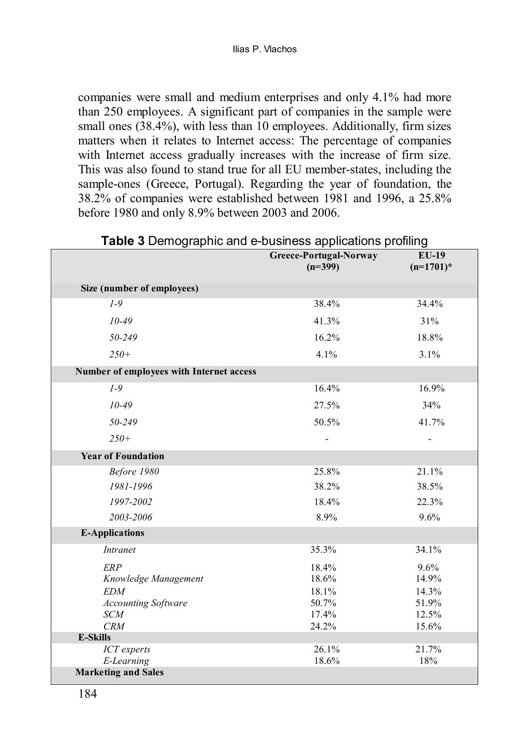companies were small and medium enterprises and only 4.1% had more than 250 employees. A significant part of companies in the sample were small ones  $(38.4\%)$ , with less than 10 employees. Additionally, firm sizes matters when it relates to Internet access: The percentage of companies with Internet access gradually increases with the increase of firm size. This was also found to stand true for all EU member-states, including the sample-ones (Greece, Portugal). Regarding the year of foundation, the 38.2% of companies were established between 1981 and 1996, a 25.8% before 1980 and only 8.9% between 2003 and 2006.

|                                          | Greece-Portugal-Norway<br>$(n=399)$ | $EU-19$<br>$(n=1701)^*$ |
|------------------------------------------|-------------------------------------|-------------------------|
| Size (number of employees)               |                                     |                         |
| $1 - 9$                                  | 38.4%                               | 34.4%                   |
| $10 - 49$                                | 41.3%                               | 31%                     |
| 50-249                                   | 16.2%                               | 18.8%                   |
| $250+$                                   | 4.1%                                | 3.1%                    |
| Number of employees with Internet access |                                     |                         |
| $1 - 9$                                  | 16.4%                               | 16.9%                   |
| $10 - 49$                                | 27.5%                               | 34%                     |
| 50-249                                   | 50.5%                               | 41.7%                   |
| $250+$                                   |                                     |                         |
| <b>Year of Foundation</b>                |                                     |                         |
| Before 1980                              | 25.8%                               | 21.1%                   |
| 1981-1996                                | 38.2%                               | 38.5%                   |
| 1997-2002                                | 18.4%                               | 22.3%                   |
| 2003-2006                                | 8.9%                                | 9.6%                    |
| <b>E-Applications</b>                    |                                     |                         |
| <b>Intranet</b>                          | 35.3%                               | 34.1%                   |
| <b>ERP</b>                               | 18.4%                               | 9.6%                    |
| Knowledge Management                     | 18.6%                               | 14.9%                   |
| <b>EDM</b>                               | 18.1%                               | 14.3%                   |
| <b>Accounting Software</b>               | 50.7%                               | 51.9%                   |
| <b>SCM</b>                               | 17.4%                               | 12.5%                   |
| CRM                                      | 24.2%                               | 15.6%                   |
| <b>E-Skills</b>                          |                                     |                         |
| ICT experts                              | 26.1%                               | 21.7%                   |
| E-Learning                               | 18.6%                               | 18%                     |
| <b>Marketing and Sales</b>               |                                     |                         |

<span id="page-5-0"></span>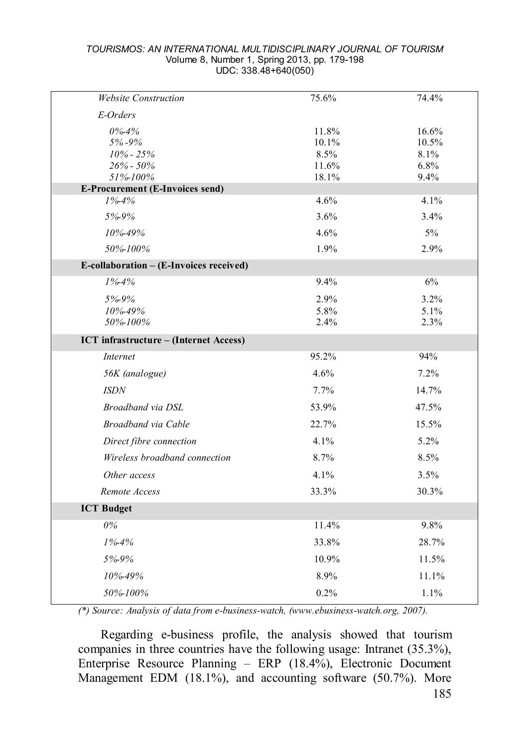#### *TOURISMOS: AN INTERNATIONAL MULTIDISCIPLINARY JOURNAL OF TOURISM* Volume 8, Number 1, Spring 2013, pp. 179-198 UDC: 338.48+640(050)

| <b>Website Construction</b>                   | 75.6%          | 74.4%        |
|-----------------------------------------------|----------------|--------------|
| E-Orders                                      |                |              |
| $0\% - 4\%$                                   | 11.8%          | 16.6%        |
| 5%-9%                                         | 10.1%          | 10.5%        |
| $10\% - 25\%$                                 | 8.5%           | 8.1%         |
| $26\% - 50\%$<br>51%-100%                     | 11.6%<br>18.1% | 6.8%<br>9.4% |
| E-Procurement (E-Invoices send)               |                |              |
| $1% - 4%$                                     | 4.6%           | 4.1%         |
| 5%-9%                                         | 3.6%           | 3.4%         |
| 10%-49%                                       | 4.6%           | 5%           |
| 50%-100%                                      | 1.9%           | 2.9%         |
| E-collaboration – (E-Invoices received)       |                |              |
| $1\% - 4\%$                                   | 9.4%           | 6%           |
| 5%9%                                          | 2.9%           | 3.2%         |
| 10%-49%                                       | 5.8%           | 5.1%         |
| 50%-100%                                      | 2.4%           | 2.3%         |
| <b>ICT</b> infrastructure – (Internet Access) |                |              |
| <b>Internet</b>                               | 95.2%          | 94%          |
| 56K (analogue)                                | 4.6%           | 7.2%         |
| <b>ISDN</b>                                   | 7.7%           | 14.7%        |
| Broadband via DSL                             | 53.9%          | 47.5%        |
| Broadband via Cable                           | 22.7%          | 15.5%        |
| Direct fibre connection                       | 4.1%           | 5.2%         |
| Wireless broadband connection                 | 8.7%           | 8.5%         |
| Other access                                  | 4.1%           | 3.5%         |
| Remote Access                                 | 33.3%          | 30.3%        |
| <b>ICT Budget</b>                             |                |              |
| 0%                                            | 11.4%          | 9.8%         |
| $1% - 4%$                                     | 33.8%          | 28.7%        |
| 5%-9%                                         | 10.9%          | 11.5%        |
| 10%-49%                                       | 8.9%           | 11.1%        |
| 50%-100%                                      | 0.2%           | 1.1%         |
|                                               |                |              |

*(\*) Source: Analysis of data from e-business-watch, (www.ebusiness-watch.org, 2007).*

Regarding e-business profile, the analysis showed that tourism companies in three countries have the following usage: Intranet (35.3%), Enterprise Resource Planning – ERP (18.4%), Electronic Document Management EDM (18.1%), and accounting software (50.7%). More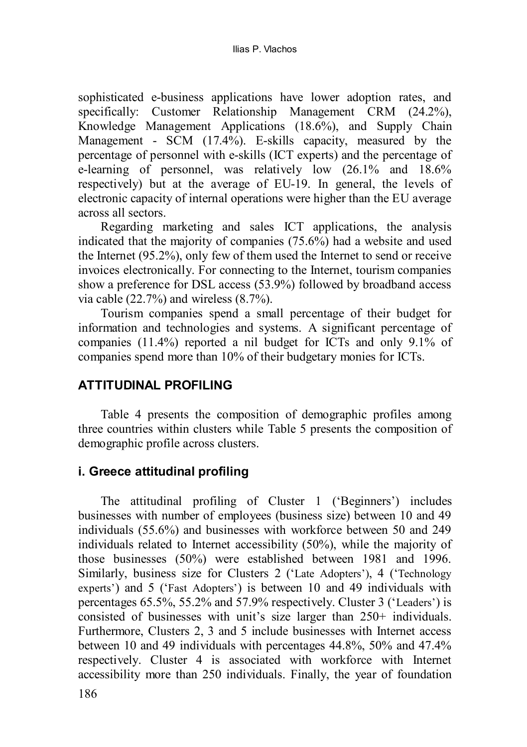sophisticated e-business applications have lower adoption rates, and specifically: Customer Relationship Management CRM (24.2%), Knowledge Management Applications (18.6%), and Supply Chain Management - SCM (17.4%). E-skills capacity, measured by the percentage of personnel with e-skills (ICT experts) and the percentage of e-learning of personnel, was relatively low (26.1% and 18.6% respectively) but at the average of EU-19. In general, the levels of electronic capacity of internal operations were higher than the EU average across all sectors.

Regarding marketing and sales ICT applications, the analysis indicated that the majority of companies (75.6%) had a website and used the Internet (95.2%), only few of them used the Internet to send or receive invoices electronically. For connecting to the Internet, tourism companies show a preference for DSL access (53.9%) followed by broadband access via cable  $(22.7\%)$  and wireless  $(8.7\%)$ .

Tourism companies spend a small percentage of their budget for information and technologies and systems. A significant percentage of companies (11.4%) reported a nil budget for ICTs and only 9.1% of companies spend more than 10% of their budgetary monies for ICTs.

# **ATTITUDINAL PROFILING**

[Table 4](#page-9-0) presents the composition of demographic profiles among three countries within clusters while [Table 5](#page-9-1) presents the composition of demographic profile across clusters.

# **i. Greece attitudinal profiling**

The attitudinal profiling of Cluster 1 ('Beginners') includes businesses with number of employees (business size) between 10 and 49 individuals (55.6%) and businesses with workforce between 50 and 249 individuals related to Internet accessibility (50%), while the majority of those businesses (50%) were established between 1981 and 1996. Similarly, business size for Clusters 2 ('Late Adopters'), 4 ('Technology experts') and 5 ('Fast Adopters') is between 10 and 49 individuals with percentages 65.5%, 55.2% and 57.9% respectively. Cluster 3 ('Leaders') is consisted of businesses with unit's size larger than 250+ individuals. Furthermore, Clusters 2, 3 and 5 include businesses with Internet access between 10 and 49 individuals with percentages 44.8%, 50% and 47.4% respectively. Cluster 4 is associated with workforce with Internet accessibility more than 250 individuals. Finally, the year of foundation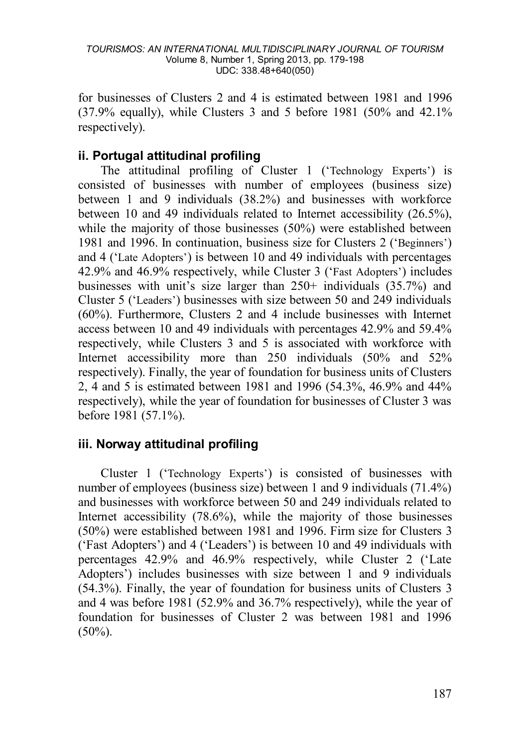for businesses of Clusters 2 and 4 is estimated between 1981 and 1996 (37.9% equally), while Clusters 3 and 5 before 1981 (50% and 42.1% respectively).

# **ii. Portugal attitudinal profiling**

The attitudinal profiling of Cluster 1 ('Technology Experts') is consisted of businesses with number of employees (business size) between 1 and 9 individuals (38.2%) and businesses with workforce between 10 and 49 individuals related to Internet accessibility (26.5%), while the majority of those businesses (50%) were established between 1981 and 1996. In continuation, business size for Clusters 2 ('Beginners') and 4 ('Late Adopters') is between 10 and 49 individuals with percentages 42.9% and 46.9% respectively, while Cluster 3 ('Fast Adopters') includes businesses with unit's size larger than 250+ individuals (35.7%) and Cluster 5 ('Leaders') businesses with size between 50 and 249 individuals (60%). Furthermore, Clusters 2 and 4 include businesses with Internet access between 10 and 49 individuals with percentages 42.9% and 59.4% respectively, while Clusters 3 and 5 is associated with workforce with Internet accessibility more than 250 individuals (50% and 52% respectively). Finally, the year of foundation for business units of Clusters 2, 4 and 5 is estimated between 1981 and 1996 (54.3%, 46.9% and 44% respectively), while the year of foundation for businesses of Cluster 3 was before 1981 (57.1%).

## **iii. Norway attitudinal profiling**

Cluster 1 ('Technology Experts') is consisted of businesses with number of employees (business size) between 1 and 9 individuals (71.4%) and businesses with workforce between 50 and 249 individuals related to Internet accessibility (78.6%), while the majority of those businesses (50%) were established between 1981 and 1996. Firm size for Clusters 3 ('Fast Adopters') and 4 ('Leaders') is between 10 and 49 individuals with percentages 42.9% and 46.9% respectively, while Cluster 2 ('Late Adopters') includes businesses with size between 1 and 9 individuals (54.3%). Finally, the year of foundation for business units of Clusters 3 and 4 was before 1981 (52.9% and 36.7% respectively), while the year of foundation for businesses of Cluster 2 was between 1981 and 1996  $(50\%)$ .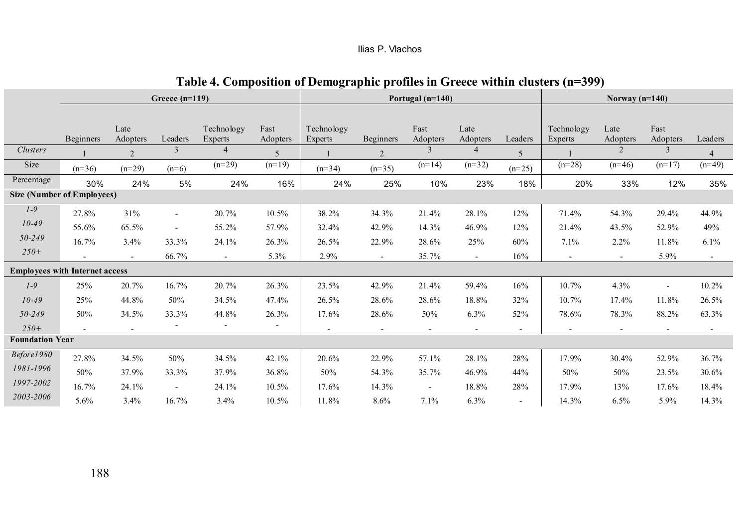|  | Ilias P. Vlachos |
|--|------------------|
|--|------------------|

# **Table 4. Composition of Demographic profiles in Greece within clusters (n=399)**

<span id="page-9-1"></span><span id="page-9-0"></span>

|                        |                                       |                  | Greece $(n=119)$ |                       |                  |                       |                          | Portugal (n=140)         |                          |          |                       |                          |                          |                            |
|------------------------|---------------------------------------|------------------|------------------|-----------------------|------------------|-----------------------|--------------------------|--------------------------|--------------------------|----------|-----------------------|--------------------------|--------------------------|----------------------------|
|                        |                                       |                  |                  |                       |                  |                       |                          |                          |                          |          |                       |                          |                          |                            |
|                        | <b>Beginners</b>                      | Late<br>Adopters | Leaders          | Technology<br>Experts | Fast<br>Adopters | Technology<br>Experts | <b>Beginners</b>         | Fast<br>Adopters         | Late<br>Adopters         | Leaders  | Technology<br>Experts | Late<br>Adopters         | Fast<br>Adopters         | Leaders                    |
| <b>Clusters</b>        |                                       |                  | 3                | 4                     |                  |                       |                          |                          |                          |          |                       | $\mathfrak{D}$           | 3                        |                            |
| Size                   |                                       | 2                |                  | $(n=29)$              | 5<br>$(n=19)$    |                       | $\overline{2}$           | $(n=14)$                 | $(n=32)$                 | 5        | $(n=28)$              | $(n=46)$                 | $(n=17)$                 | $\overline{4}$<br>$(n=49)$ |
|                        | $(n=36)$                              | $(n=29)$         | $(n=6)$          |                       |                  | $(n=34)$              | $(n=35)$                 |                          |                          | $(n=25)$ |                       |                          |                          |                            |
| Percentage             | 30%                                   | 24%              | 5%               | 24%                   | 16%              | 24%                   | 25%                      | 10%                      | 23%                      | 18%      | 20%                   | 33%                      | 12%                      | 35%                        |
|                        | <b>Size (Number of Employees)</b>     |                  |                  |                       |                  |                       |                          |                          |                          |          |                       |                          |                          |                            |
| $1-9$                  | 27.8%                                 | 31%              | $\sim$           | 20.7%                 | 10.5%            | 38.2%                 | 34.3%                    | 21.4%                    | 28.1%                    | 12%      | 71.4%                 | 54.3%                    | 29.4%                    | 44.9%                      |
| $10 - 49$              | 55.6%                                 | 65.5%            | ٠                | 55.2%                 | 57.9%            | 32.4%                 | 42.9%                    | 14.3%                    | 46.9%                    | 12%      | 21.4%                 | 43.5%                    | 52.9%                    | 49%                        |
| 50-249                 | 16.7%                                 | 3.4%             | 33.3%            | 24.1%                 | 26.3%            | 26.5%                 | 22.9%                    | 28.6%                    | 25%                      | 60%      | 7.1%                  | 2.2%                     | 11.8%                    | 6.1%                       |
| $250+$                 |                                       | $\sim$           | 66.7%            | ÷.                    | 5.3%             | 2.9%                  | $\sim$                   | 35.7%                    | $\sim$                   | 16%      | $\sim$                | $\sim$                   | 5.9%                     | $\sim$                     |
|                        | <b>Employees with Internet access</b> |                  |                  |                       |                  |                       |                          |                          |                          |          |                       |                          |                          |                            |
| $1-9$                  | 25%                                   | 20.7%            | 16.7%            | 20.7%                 | 26.3%            | 23.5%                 | 42.9%                    | 21.4%                    | 59.4%                    | 16%      | 10.7%                 | 4.3%                     | $\sim$                   | 10.2%                      |
| $10 - 49$              | 25%                                   | 44.8%            | 50%              | 34.5%                 | 47.4%            | 26.5%                 | 28.6%                    | 28.6%                    | 18.8%                    | 32%      | 10.7%                 | 17.4%                    | 11.8%                    | 26.5%                      |
| 50-249                 | 50%                                   | 34.5%            | 33.3%            | 44.8%                 | 26.3%            | 17.6%                 | 28.6%                    | 50%                      | 6.3%                     | 52%      | 78.6%                 | 78.3%                    | 88.2%                    | 63.3%                      |
| $250+$                 |                                       | ٠                |                  |                       |                  | $\sim$                | $\overline{\phantom{a}}$ | $\overline{\phantom{a}}$ | $\overline{\phantom{a}}$ | $\sim$   | $\sim$                | $\overline{\phantom{a}}$ | $\overline{\phantom{a}}$ |                            |
| <b>Foundation Year</b> |                                       |                  |                  |                       |                  |                       |                          |                          |                          |          |                       |                          |                          |                            |
| Before1980             | 27.8%                                 | 34.5%            | 50%              | 34.5%                 | 42.1%            | 20.6%                 | 22.9%                    | 57.1%                    | 28.1%                    | 28%      | 17.9%                 | 30.4%                    | 52.9%                    | 36.7%                      |
| 1981-1996              | 50%                                   | 37.9%            | 33.3%            | 37.9%                 | 36.8%            | 50%                   | 54.3%                    | 35.7%                    | 46.9%                    | 44%      | 50%                   | 50%                      | 23.5%                    | 30.6%                      |
| 1997-2002              | 16.7%                                 | 24.1%            | ÷.               | 24.1%                 | 10.5%            | 17.6%                 | 14.3%                    | ÷,                       | 18.8%                    | 28%      | 17.9%                 | 13%                      | 17.6%                    | 18.4%                      |
| 2003-2006              | 5.6%                                  | 3.4%             | 16.7%            | 3.4%                  | 10.5%            | 11.8%                 | 8.6%                     | 7.1%                     | 6.3%                     | ٠        | 14.3%                 | 6.5%                     | 5.9%                     | 14.3%                      |
|                        |                                       |                  |                  |                       |                  |                       |                          |                          |                          |          |                       |                          |                          |                            |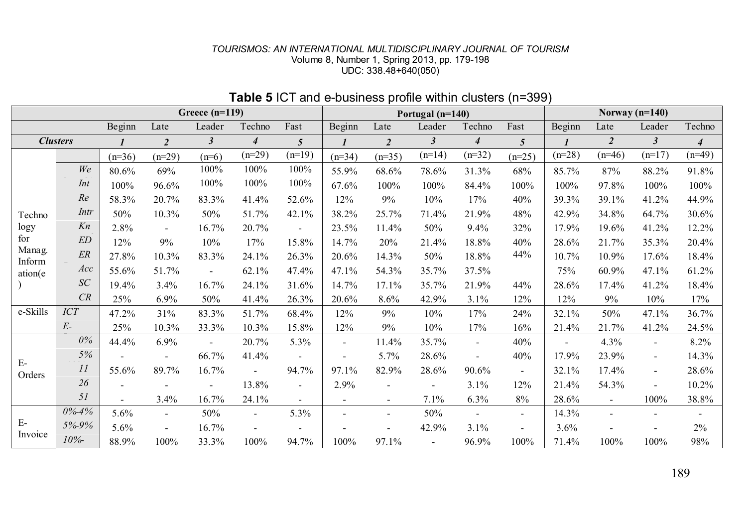#### *TOURISMOS: AN INTERNATIONAL MULTIDISCIPLINARY JOURNAL OF TOURISM* Volume 8, Number 1, Spring 2013, pp. 179-198 UDC: 338.48+640(050)

| Greece $(n=119)$ |             |              |                          |                          |                  |                          | Portugal $(n=140)$       |                          |                |                | Norway $(n=140)$         |                |                          |                          |                          |
|------------------|-------------|--------------|--------------------------|--------------------------|------------------|--------------------------|--------------------------|--------------------------|----------------|----------------|--------------------------|----------------|--------------------------|--------------------------|--------------------------|
|                  |             | Beginn       | Late                     | Leader                   | Techno           | Fast                     | Beginn                   | Late                     | Leader         | Techno         | Fast                     | Beginn         | Late                     | Leader                   | Techno                   |
| <b>Clusters</b>  |             | $\mathbf{I}$ | $\overline{c}$           | $\mathfrak{Z}$           | $\boldsymbol{4}$ | 5                        | $\mathbf{I}$             | $\overline{2}$           | $\mathfrak{z}$ | $\overline{4}$ | $\overline{5}$           | $\mathbf{I}$   | $\overline{2}$           | $\boldsymbol{\beta}$     | $\overline{4}$           |
|                  |             | $(n=36)$     | $(n=29)$                 | $(n=6)$                  | $(n=29)$         | $(n=19)$                 | $(n=34)$                 | $(n=35)$                 | $(n=14)$       | $(n=32)$       | $(n=25)$                 | $(n=28)$       | $(n=46)$                 | $(n=17)$                 | $(n=49)$                 |
|                  | We          | 80.6%        | 69%                      | 100%                     | 100%             | 100%                     | 55.9%                    | 68.6%                    | 78.6%          | 31.3%          | 68%                      | 85.7%          | 87%                      | 88.2%                    | 91.8%                    |
|                  | Int         | 100%         | 96.6%                    | 100%                     | 100%             | 100%                     | 67.6%                    | 100%                     | 100%           | 84.4%          | 100%                     | 100%           | 97.8%                    | 100%                     | 100%                     |
|                  | Re          | 58.3%        | 20.7%                    | 83.3%                    | 41.4%            | 52.6%                    | 12%                      | 9%                       | 10%            | 17%            | 40%                      | 39.3%          | 39.1%                    | 41.2%                    | 44.9%                    |
| Techno           | Intr        | 50%          | 10.3%                    | 50%                      | 51.7%            | 42.1%                    | 38.2%                    | 25.7%                    | 71.4%          | 21.9%          | 48%                      | 42.9%          | 34.8%                    | 64.7%                    | 30.6%                    |
| logy             | Kn          | 2.8%         | $\overline{\phantom{a}}$ | 16.7%                    | 20.7%            |                          | 23.5%                    | 11.4%                    | 50%            | 9.4%           | 32%                      | 17.9%          | 19.6%                    | 41.2%                    | 12.2%                    |
| for              | ED          | 12%          | 9%                       | 10%                      | 17%              | 15.8%                    | 14.7%                    | 20%                      | 21.4%          | 18.8%          | 40%                      | 28.6%          | 21.7%                    | 35.3%                    | 20.4%                    |
| Manag.<br>Inform | ER          | 27.8%        | 10.3%                    | 83.3%                    | 24.1%            | 26.3%                    | 20.6%                    | 14.3%                    | 50%            | 18.8%          | 44%                      | 10.7%          | 10.9%                    | 17.6%                    | 18.4%                    |
| ation(e)         | Acc         | 55.6%        | 51.7%                    | $\blacksquare$           | 62.1%            | 47.4%                    | 47.1%                    | 54.3%                    | 35.7%          | 37.5%          |                          | 75%            | 60.9%                    | 47.1%                    | 61.2%                    |
|                  | SC          | 19.4%        | 3.4%                     | 16.7%                    | 24.1%            | 31.6%                    | 14.7%                    | 17.1%                    | 35.7%          | 21.9%          | 44%                      | 28.6%          | 17.4%                    | 41.2%                    | 18.4%                    |
|                  | CR          | 25%          | 6.9%                     | 50%                      | 41.4%            | 26.3%                    | 20.6%                    | 8.6%                     | 42.9%          | 3.1%           | 12%                      | 12%            | 9%                       | 10%                      | 17%                      |
| e-Skills         | <b>ICT</b>  | 47.2%        | 31%                      | 83.3%                    | 51.7%            | 68.4%                    | 12%                      | 9%                       | 10%            | 17%            | 24%                      | 32.1%          | 50%                      | 47.1%                    | 36.7%                    |
|                  | $E-$        | 25%          | 10.3%                    | 33.3%                    | 10.3%            | 15.8%                    | 12%                      | 9%                       | 10%            | 17%            | 16%                      | 21.4%          | 21.7%                    | 41.2%                    | 24.5%                    |
|                  | $0\%$       | 44.4%        | 6.9%                     | $\sim$                   | 20.7%            | 5.3%                     | $\overline{\phantom{a}}$ | 11.4%                    | 35.7%          | $\blacksquare$ | 40%                      | $\blacksquare$ | 4.3%                     | $\overline{\phantom{a}}$ | 8.2%                     |
|                  | 5%          |              |                          | 66.7%                    | 41.4%            |                          |                          | 5.7%                     | 28.6%          | $\sim$         | 40%                      | 17.9%          | 23.9%                    | $\blacksquare$           | 14.3%                    |
| $E-$<br>Orders   | 11          | 55.6%        | 89.7%                    | 16.7%                    | $\blacksquare$   | 94.7%                    | 97.1%                    | 82.9%                    | 28.6%          | 90.6%          | $\blacksquare$           | 32.1%          | 17.4%                    | $\blacksquare$           | 28.6%                    |
|                  | 26<br>$  -$ |              |                          | $\overline{\phantom{a}}$ | 13.8%            | $\overline{\phantom{a}}$ | 2.9%                     |                          |                | 3.1%           | 12%                      | 21.4%          | 54.3%                    |                          | 10.2%                    |
|                  | 51          | ÷            | 3.4%                     | 16.7%                    | 24.1%            | $\sim$                   | $\blacksquare$           | $\overline{\phantom{a}}$ | 7.1%           | 6.3%           | 8%                       | 28.6%          | $\overline{\phantom{a}}$ | 100%                     | 38.8%                    |
|                  | $0\% - 4\%$ | 5.6%         | $\blacksquare$           | 50%                      | $\blacksquare$   | 5.3%                     | ۰                        | $\overline{\phantom{a}}$ | 50%            | $\blacksquare$ | $\overline{\phantom{a}}$ | 14.3%          | $\blacksquare$           |                          | $\overline{\phantom{a}}$ |
| Е-               | 5%-9%       | 5.6%         | $\blacksquare$           | 16.7%                    |                  |                          |                          |                          | 42.9%          | 3.1%           | $\overline{\phantom{a}}$ | 3.6%           | $\overline{\phantom{a}}$ |                          | 2%                       |
| Invoice          | 10%         | 88.9%        | 100%                     | 33.3%                    | 100%             | 94.7%                    | 100%                     | 97.1%                    |                | 96.9%          | 100%                     | 71.4%          | 100%                     | 100%                     | 98%                      |

## **Table 5** ICT and e-business profile within clusters (n=399)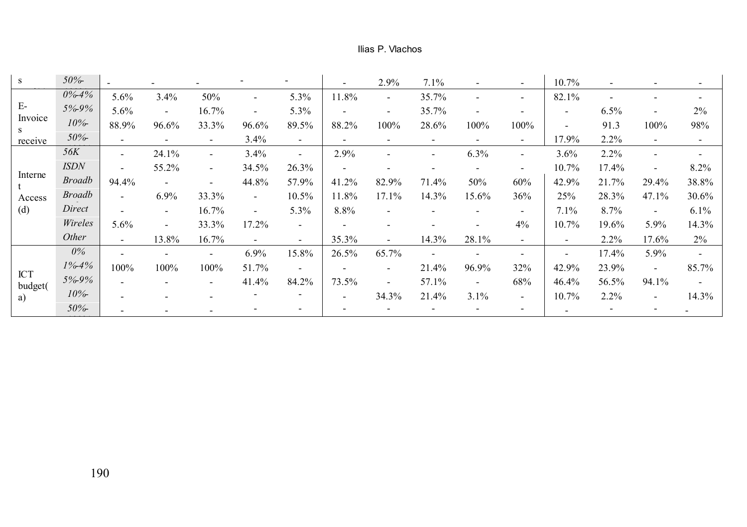#### Ilias P. Vlachos

| s             | 50%           | $\overline{\phantom{a}}$ |                          |                |        |        | $\overline{\phantom{a}}$ | 2.9%  | 7.1%                     |                          |        | 10.7%                    | $\overline{\phantom{0}}$ |                          |                          |
|---------------|---------------|--------------------------|--------------------------|----------------|--------|--------|--------------------------|-------|--------------------------|--------------------------|--------|--------------------------|--------------------------|--------------------------|--------------------------|
|               | $0\% - 4\%$   | 5.6%                     | 3.4%                     | 50%            |        | 5.3%   | 11.8%                    |       | 35.7%                    |                          | ۰.     | 82.1%                    |                          |                          | ۰                        |
| $E-$          | 5%9%          | 5.6%                     | $\blacksquare$           | 16.7%          |        | 5.3%   | $\overline{\phantom{a}}$ |       | 35.7%                    | ٠                        |        | $\overline{\phantom{a}}$ | 6.5%                     |                          | 2%                       |
| Invoice<br>S. | 10%           | 88.9%                    | 96.6%                    | 33.3%          | 96.6%  | 89.5%  | 88.2%                    | 100%  | 28.6%                    | 100%                     | 100%   | $\blacksquare$           | 91.3                     | 100%                     | 98%                      |
| receive       | 50%           |                          | $\sim$                   | ۰              | 3.4%   | $\sim$ | ۰.                       |       | $\overline{\phantom{a}}$ |                          | $\sim$ | 17.9%                    | 2.2%                     | ۰.                       | $\overline{\phantom{a}}$ |
|               | <i>56K</i>    |                          | 24.1%                    | $\blacksquare$ | 3.4%   | $\sim$ | 2.9%                     |       | $\overline{\phantom{a}}$ | 6.3%                     |        | 3.6%                     | 2.2%                     |                          | $\overline{\phantom{a}}$ |
|               | <b>ISDN</b>   |                          | 55.2%                    | $\sim$         | 34.5%  | 26.3%  | ٠                        |       |                          |                          |        | 10.7%                    | 17.4%                    |                          | 8.2%                     |
| Interne       | <b>Broadb</b> | 94.4%                    | $\blacksquare$           | ۰              | 44.8%  | 57.9%  | 41.2%                    | 82.9% | 71.4%                    | 50%                      | 60%    | 42.9%                    | 21.7%                    | 29.4%                    | 38.8%                    |
| Access        | <b>Broadb</b> |                          | 6.9%                     | 33.3%          | $\sim$ | 10.5%  | 11.8%                    | 17.1% | 14.3%                    | 15.6%                    | 36%    | 25%                      | 28.3%                    | 47.1%                    | 30.6%                    |
| (d)           | Direct        |                          | $\sim$                   | 16.7%          | $\sim$ | 5.3%   | 8.8%                     |       | ٠                        |                          | $\sim$ | 7.1%                     | 8.7%                     | $\overline{\phantom{a}}$ | $6.1\%$                  |
|               | Wireles       | 5.6%                     | $\overline{\phantom{a}}$ | 33.3%          | 17.2%  | $\sim$ | $\overline{\phantom{a}}$ |       |                          |                          | 4%     | 10.7%                    | 19.6%                    | 5.9%                     | 14.3%                    |
|               | Other         |                          | 13.8%                    | 16.7%          |        | $\sim$ | 35.3%                    |       | 14.3%                    | 28.1%                    | $\sim$ | $\blacksquare$           | 2.2%                     | 17.6%                    | $2\%$                    |
|               | $0\%$         |                          | $\overline{\phantom{a}}$ | $\blacksquare$ | 6.9%   | 15.8%  | 26.5%                    | 65.7% | $\overline{\phantom{a}}$ |                          |        | $\overline{\phantom{a}}$ | 17.4%                    | 5.9%                     | $\overline{\phantom{a}}$ |
| <b>ICT</b>    | 1%4%          | 100%                     | 100%                     | 100%           | 51.7%  | $\sim$ |                          |       | 21.4%                    | 96.9%                    | 32%    | 42.9%                    | 23.9%                    | $\overline{\phantom{a}}$ | 85.7%                    |
| budget(       | 5%-9%         |                          |                          |                | 41.4%  | 84.2%  | 73.5%                    |       | 57.1%                    | $\overline{\phantom{a}}$ | 68%    | 46.4%                    | 56.5%                    | 94.1%                    | $\sim$                   |
| a)            | 10%           |                          | ٠                        |                |        | ۰.     | $\overline{\phantom{a}}$ | 34.3% | 21.4%                    | 3.1%                     | $\sim$ | 10.7%                    | 2.2%                     | $\overline{\phantom{a}}$ | 14.3%                    |
|               | 50%           |                          |                          |                |        | ۰      |                          |       |                          |                          | $\sim$ | $\overline{\phantom{a}}$ | $\blacksquare$           |                          |                          |
|               |               |                          |                          |                |        |        |                          |       |                          |                          |        |                          |                          |                          |                          |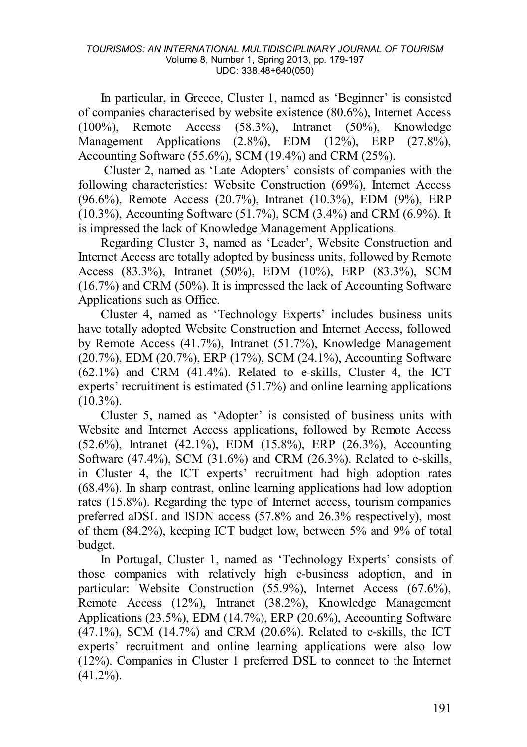In particular, in Greece, Cluster 1, named as 'Beginner' is consisted of companies characterised by website existence (80.6%), Internet Access (100%), Remote Access (58.3%), Intranet (50%), Knowledge Management Applications (2.8%), EDM (12%), ERP (27.8%), Accounting Software (55.6%), SCM (19.4%) and CRM (25%).

Cluster 2, named as 'Late Adopters' consists of companies with the following characteristics: Website Construction (69%), Internet Access (96.6%), Remote Access (20.7%), Intranet (10.3%), EDM (9%), ERP (10.3%), Accounting Software (51.7%), SCM (3.4%) and CRM (6.9%). It is impressed the lack of Knowledge Management Applications.

Regarding Cluster 3, named as 'Leader', Website Construction and Internet Access are totally adopted by business units, followed by Remote Access (83.3%), Intranet (50%), EDM (10%), ERP (83.3%), SCM (16.7%) and CRM (50%). It is impressed the lack of Accounting Software Applications such as Office.

Cluster 4, named as 'Technology Experts' includes business units have totally adopted Website Construction and Internet Access, followed by Remote Access (41.7%), Intranet (51.7%), Knowledge Management (20.7%), EDM (20.7%), ERP (17%), SCM (24.1%), Accounting Software  $(62.1\%)$  and CRM  $(41.4\%)$ . Related to e-skills. Cluster 4, the ICT experts' recruitment is estimated (51.7%) and online learning applications  $(10.3\%)$ .

Cluster 5, named as 'Adopter' is consisted of business units with Website and Internet Access applications, followed by Remote Access (52.6%), Intranet (42.1%), EDM (15.8%), ERP (26.3%), Accounting Software (47.4%), SCM (31.6%) and CRM (26.3%). Related to e-skills, in Cluster 4, the ICT experts' recruitment had high adoption rates (68.4%). In sharp contrast, online learning applications had low adoption rates (15.8%). Regarding the type of Internet access, tourism companies preferred aDSL and ISDN access (57.8% and 26.3% respectively), most of them (84.2%), keeping ICT budget low, between 5% and 9% of total budget.

In Portugal, Cluster 1, named as 'Technology Experts' consists of those companies with relatively high e-business adoption, and in particular: Website Construction (55.9%), Internet Access (67.6%), Remote Access (12%), Intranet (38.2%), Knowledge Management Applications (23.5%), EDM (14.7%), ERP (20.6%), Accounting Software  $(47.1\%)$ , SCM  $(14.7\%)$  and CRM  $(20.6\%)$ . Related to e-skills, the ICT experts' recruitment and online learning applications were also low (12%). Companies in Cluster 1 preferred DSL to connect to the Internet (41.2%).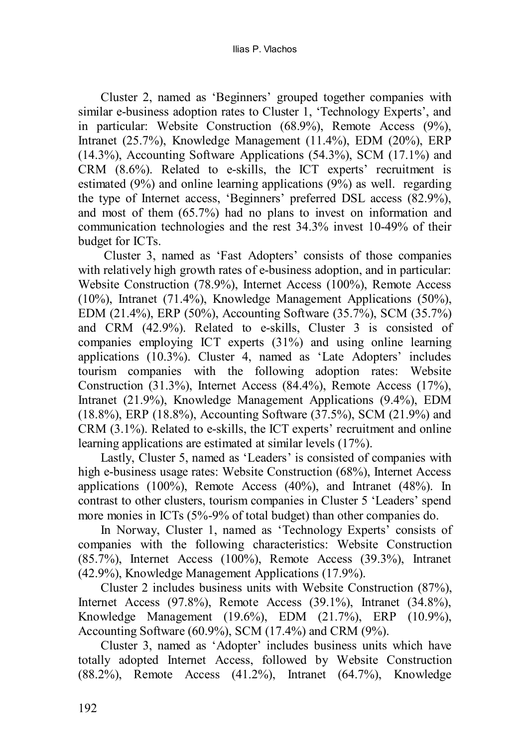Cluster 2, named as 'Beginners' grouped together companies with similar e-business adoption rates to Cluster 1, 'Technology Experts', and in particular: Website Construction (68.9%), Remote Access (9%), Intranet (25.7%), Knowledge Management (11.4%), EDM (20%), ERP (14.3%), Accounting Software Applications (54.3%), SCM (17.1%) and CRM (8.6%). Related to e-skills, the ICT experts' recruitment is estimated (9%) and online learning applications (9%) as well. regarding the type of Internet access, 'Beginners' preferred DSL access (82.9%), and most of them (65.7%) had no plans to invest on information and communication technologies and the rest 34.3% invest 10-49% of their budget for ICTs.

Cluster 3, named as 'Fast Adopters' consists of those companies with relatively high growth rates of e-business adoption, and in particular: Website Construction (78.9%), Internet Access (100%), Remote Access (10%), Intranet (71.4%), Knowledge Management Applications (50%), EDM (21.4%), ERP (50%), Accounting Software (35.7%), SCM (35.7%) and CRM (42.9%). Related to e-skills, Cluster 3 is consisted of companies employing ICT experts (31%) and using online learning applications (10.3%). Cluster 4, named as 'Late Adopters' includes tourism companies with the following adoption rates: Website Construction (31.3%), Internet Access (84.4%), Remote Access (17%), Intranet (21.9%), Knowledge Management Applications (9.4%), EDM (18.8%), ERP (18.8%), Accounting Software (37.5%), SCM (21.9%) and CRM (3.1%). Related to e-skills, the ICT experts' recruitment and online learning applications are estimated at similar levels (17%).

Lastly, Cluster 5, named as 'Leaders' is consisted of companies with high e-business usage rates: Website Construction (68%), Internet Access applications (100%), Remote Access (40%), and Intranet (48%). In contrast to other clusters, tourism companies in Cluster 5 'Leaders' spend more monies in ICTs (5%-9% of total budget) than other companies do.

In Norway, Cluster 1, named as 'Technology Experts' consists of companies with the following characteristics: Website Construction (85.7%), Internet Access (100%), Remote Access (39.3%), Intranet (42.9%), Knowledge Management Applications (17.9%).

Cluster 2 includes business units with Website Construction (87%), Internet Access (97.8%), Remote Access (39.1%), Intranet (34.8%), Knowledge Management (19.6%), EDM (21.7%), ERP (10.9%), Accounting Software (60.9%), SCM (17.4%) and CRM (9%).

Cluster 3, named as 'Adopter' includes business units which have totally adopted Internet Access, followed by Website Construction (88.2%), Remote Access (41.2%), Intranet (64.7%), Knowledge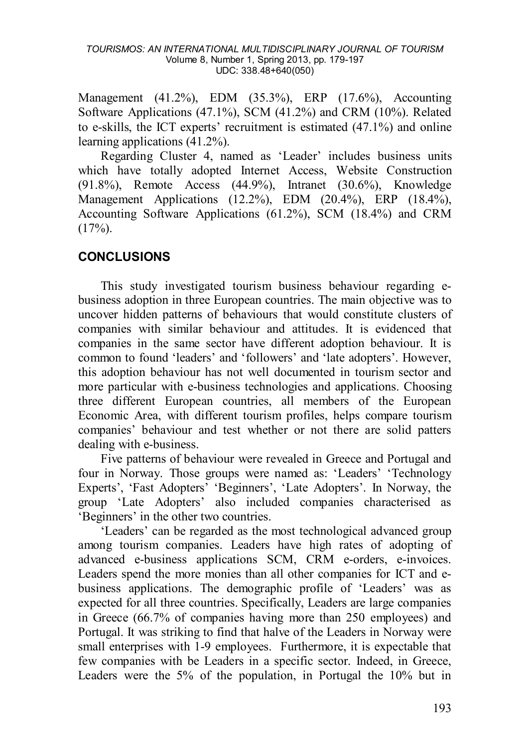#### *TOURISMOS: AN INTERNATIONAL MULTIDISCIPLINARY JOURNAL OF TOURISM* Volume 8, Number 1, Spring 2013, pp. 179-197 UDC: 338.48+640(050)

Management (41.2%), EDM (35.3%), ERP (17.6%), Accounting Software Applications (47.1%), SCM (41.2%) and CRM (10%). Related to e-skills, the ICT experts' recruitment is estimated (47.1%) and online learning applications (41.2%).

Regarding Cluster 4, named as 'Leader' includes business units which have totally adopted Internet Access, Website Construction (91.8%), Remote Access (44.9%), Intranet (30.6%), Knowledge Management Applications (12.2%), EDM (20.4%), ERP (18.4%), Accounting Software Applications (61.2%), SCM (18.4%) and CRM  $(17\%)$ .

## **CONCLUSIONS**

This study investigated tourism business behaviour regarding ebusiness adoption in three European countries. The main objective was to uncover hidden patterns of behaviours that would constitute clusters of companies with similar behaviour and attitudes. It is evidenced that companies in the same sector have different adoption behaviour. It is common to found 'leaders' and 'followers' and 'late adopters'. However, this adoption behaviour has not well documented in tourism sector and more particular with e-business technologies and applications. Choosing three different European countries, all members of the European Economic Area, with different tourism profiles, helps compare tourism companies' behaviour and test whether or not there are solid patters dealing with e-business.

Five patterns of behaviour were revealed in Greece and Portugal and four in Norway. Those groups were named as: 'Leaders' 'Technology Experts', 'Fast Adopters' 'Beginners', 'Late Adopters'. In Norway, the group 'Late Adopters' also included companies characterised as 'Beginners' in the other two countries.

'Leaders' can be regarded as the most technological advanced group among tourism companies. Leaders have high rates of adopting of advanced e-business applications SCM, CRM e-orders, e-invoices. Leaders spend the more monies than all other companies for ICT and ebusiness applications. The demographic profile of 'Leaders' was as expected for all three countries. Specifically, Leaders are large companies in Greece (66.7% of companies having more than 250 employees) and Portugal. It was striking to find that halve of the Leaders in Norway were small enterprises with 1-9 employees. Furthermore, it is expectable that few companies with be Leaders in a specific sector. Indeed, in Greece, Leaders were the 5% of the population, in Portugal the 10% but in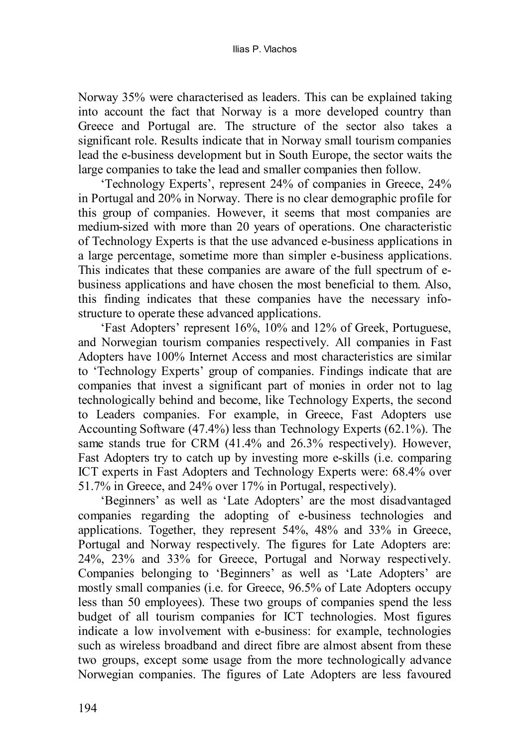Norway 35% were characterised as leaders. This can be explained taking into account the fact that Norway is a more developed country than Greece and Portugal are. The structure of the sector also takes a significant role. Results indicate that in Norway small tourism companies lead the e-business development but in South Europe, the sector waits the large companies to take the lead and smaller companies then follow.

'Technology Experts', represent 24% of companies in Greece, 24% in Portugal and 20% in Norway. There is no clear demographic profile for this group of companies. However, it seems that most companies are medium-sized with more than 20 years of operations. One characteristic of Technology Experts is that the use advanced e-business applications in a large percentage, sometime more than simpler e-business applications. This indicates that these companies are aware of the full spectrum of ebusiness applications and have chosen the most beneficial to them. Also, this finding indicates that these companies have the necessary infostructure to operate these advanced applications.

'Fast Adopters' represent 16%, 10% and 12% of Greek, Portuguese, and Norwegian tourism companies respectively. All companies in Fast Adopters have 100% Internet Access and most characteristics are similar to 'Technology Experts' group of companies. Findings indicate that are companies that invest a significant part of monies in order not to lag technologically behind and become, like Technology Experts, the second to Leaders companies. For example, in Greece, Fast Adopters use Accounting Software (47.4%) less than Technology Experts (62.1%). The same stands true for CRM (41.4% and 26.3% respectively). However, Fast Adopters try to catch up by investing more e-skills (i.e. comparing ICT experts in Fast Adopters and Technology Experts were: 68.4% over 51.7% in Greece, and 24% over 17% in Portugal, respectively).

'Beginners' as well as 'Late Adopters' are the most disadvantaged companies regarding the adopting of e-business technologies and applications. Together, they represent 54%, 48% and 33% in Greece, Portugal and Norway respectively. The figures for Late Adopters are: 24%, 23% and 33% for Greece, Portugal and Norway respectively. Companies belonging to 'Beginners' as well as 'Late Adopters' are mostly small companies (i.e. for Greece, 96.5% of Late Adopters occupy less than 50 employees). These two groups of companies spend the less budget of all tourism companies for ICT technologies. Most figures indicate a low involvement with e-business: for example, technologies such as wireless broadband and direct fibre are almost absent from these two groups, except some usage from the more technologically advance Norwegian companies. The figures of Late Adopters are less favoured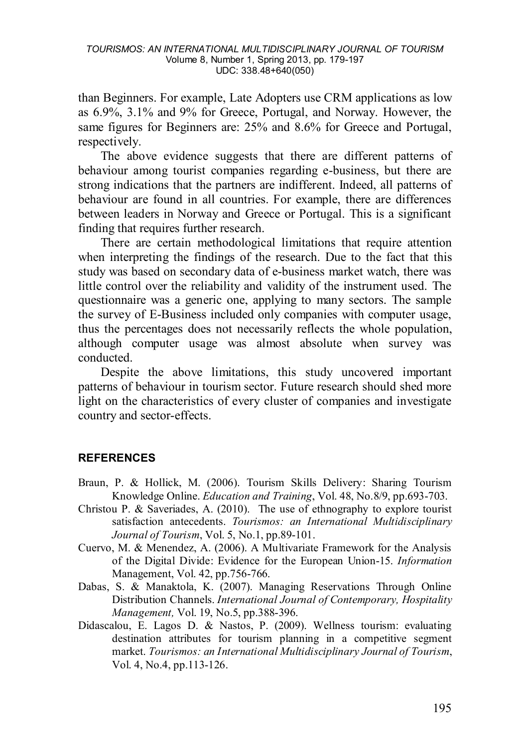than Beginners. For example, Late Adopters use CRM applications as low as 6.9%, 3.1% and 9% for Greece, Portugal, and Norway. However, the same figures for Beginners are: 25% and 8.6% for Greece and Portugal, respectively.

The above evidence suggests that there are different patterns of behaviour among tourist companies regarding e-business, but there are strong indications that the partners are indifferent. Indeed, all patterns of behaviour are found in all countries. For example, there are differences between leaders in Norway and Greece or Portugal. This is a significant finding that requires further research.

There are certain methodological limitations that require attention when interpreting the findings of the research. Due to the fact that this study was based on secondary data of e-business market watch, there was little control over the reliability and validity of the instrument used. The questionnaire was a generic one, applying to many sectors. The sample the survey of E-Business included only companies with computer usage, thus the percentages does not necessarily reflects the whole population, although computer usage was almost absolute when survey was conducted.

Despite the above limitations, this study uncovered important patterns of behaviour in tourism sector. Future research should shed more light on the characteristics of every cluster of companies and investigate country and sector-effects.

#### **REFERENCES**

- Braun, P. & Hollick, M. (2006). Tourism Skills Delivery: Sharing Tourism Knowledge Online. *Education and Training*, Vol. 48, No.8/9, pp.693-703.
- Christou P. & Saveriades, A. (2010). The use of ethnography to explore tourist satisfaction antecedents. *Tourismos: an International Multidisciplinary Journal of Tourism*, Vol. 5, No.1, pp.89-101.
- Cuervo, M. & Menendez, A. (2006). A Multivariate Framework for the Analysis of the Digital Divide: Evidence for the European Union-15. *Information*  Management, Vol. 42, pp.756-766.
- Dabas, S. & Manaktola, K. (2007). Managing Reservations Through Online Distribution Channels. *International Journal of Contemporary, Hospitality Management,* Vol. 19, No.5, pp.388-396.
- Didascalou, E. Lagos D. & Nastos, P. (2009). Wellness tourism: evaluating destination attributes for tourism planning in a competitive segment market. *Tourismos: an International Multidisciplinary Journal of Tourism*, Vol. 4, No.4, pp.113-126.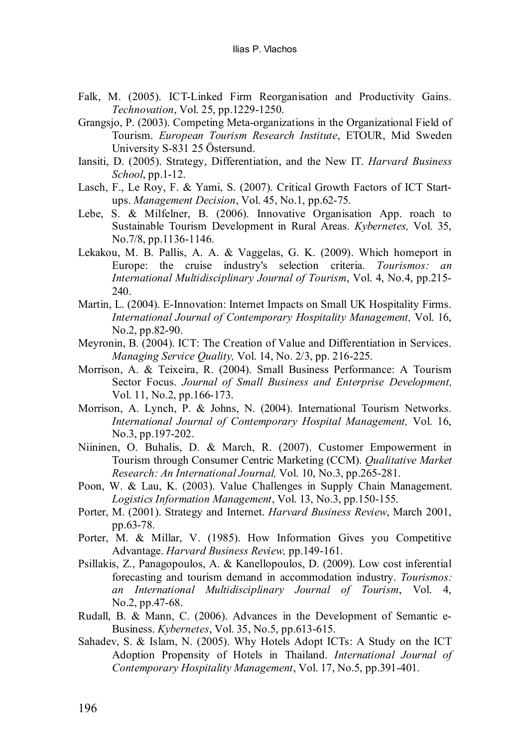- Falk, M. (2005). ICT-Linked Firm Reorganisation and Productivity Gains. *Technovation*, Vol. 25, pp.1229-1250.
- Grangsjo, P. (2003). Competing Meta-organizations in the Organizational Field of Tourism. *European Tourism Research Institute*, ETOUR, Mid Sweden University S-831 25 Östersund.
- Iansiti, D. (2005). Strategy, Differentiation, and the New IT. *Harvard Business School*, pp.1-12.
- Lasch, F., Le Roy, F. & Yami, S. (2007). Critical Growth Factors of ICT Startups. *Management Decision*, Vol. 45, No.1, pp.62-75.
- Lebe, S. & Milfelner, B. (2006). Innovative Organisation App. roach to Sustainable Tourism Development in Rural Areas. *Kybernetes,* Vol. 35, No.7/8, pp.1136-1146.
- Lekakou, M. B. Pallis, A. A. & Vaggelas, G. K. (2009). Which homeport in Europe: the cruise industry's selection criteria. *Tourismos: an International Multidisciplinary Journal of Tourism*, Vol. 4, No.4, pp.215- 240
- Martin, L. (2004). E-Innovation: Internet Impacts on Small UK Hospitality Firms. *International Journal of Contemporary Hospitality Management,* Vol. 16, No.2, pp.82-90.
- Meyronin, B. (2004). ICT: The Creation of Value and Differentiation in Services. *Managing Service Quality,* Vol. 14, No. 2/3, pp. 216-225.
- Morrison, A. & Teixeira, R. (2004). Small Business Performance: A Tourism Sector Focus. *Journal of Small Business and Enterprise Development,*  Vol. 11, No.2, pp.166-173.
- Morrison, A. Lynch, P. & Johns, N. (2004). International Tourism Networks. *International Journal of Contemporary Hospital Management,* Vol. 16, No.3, pp.197-202.
- Niininen, O. Buhalis, D. & March, R. (2007). Customer Empowerment in Tourism through Consumer Centric Marketing (CCM). *Qualitative Market Research: An International Journal,* Vol. 10, No.3, pp.265-281.
- Poon, W. & Lau, K. (2003). Value Challenges in Supply Chain Management. *Logistics Information Management*, Vol. 13, No.3, pp.150-155.
- Porter, M. (2001). Strategy and Internet. *Harvard Business Review*, March 2001, pp.63-78.
- Porter, M. & Millar, V. (1985). How Information Gives you Competitive Advantage. *Harvard Business Review,* pp.149-161.
- Psillakis, Z., Panagopoulos, A. & Kanellopoulos, D. (2009). Low cost inferential forecasting and tourism demand in accommodation industry. *Tourismos: an International Multidisciplinary Journal of Tourism*, Vol. 4, No.2, pp.47-68.
- Rudall, B. & Mann, C. (2006). Advances in the Development of Semantic e-Business. *Kybernetes*, Vol. 35, No.5, pp.613-615.
- Sahadev, S. & Islam, N. (2005). Why Hotels Adopt ICTs: A Study on the ICT Adoption Propensity of Hotels in Thailand. *International Journal of Contemporary Hospitality Management*, Vol. 17, No.5, pp.391-401.